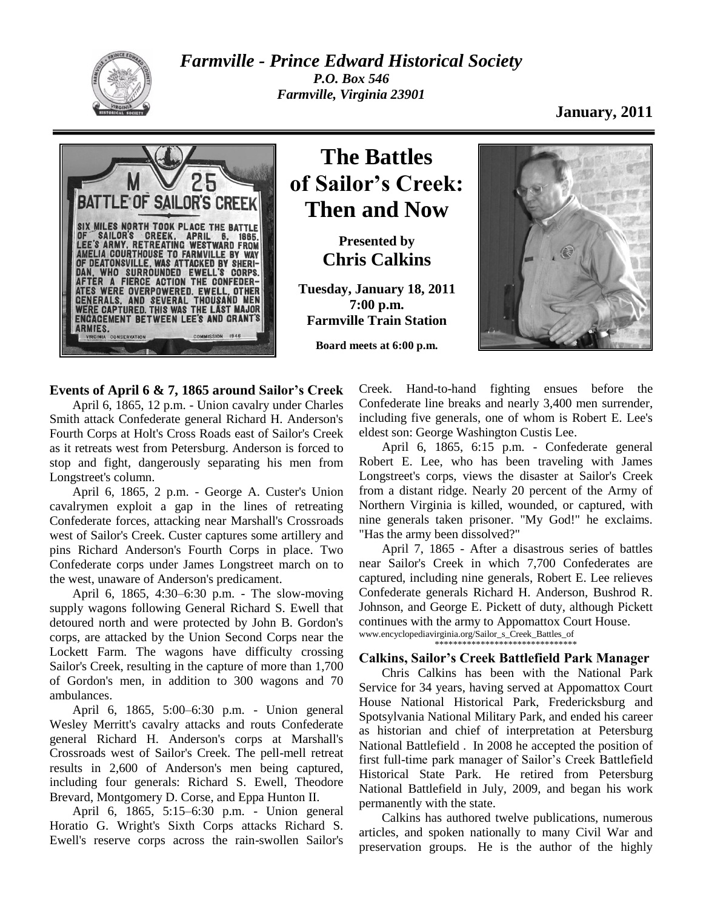

*Farmville - Prince Edward Historical Society P.O. Box 546 Farmville, Virginia 23901*

## **January, 2011**



# **The Battles of Sailor's Creek: Then and Now**

**Presented by Chris Calkins**

**Tuesday, January 18, 2011 7:00 p.m. Farmville Train Station**

**Board meets at 6:00 p.m.**



### **Events of April 6 & 7, 1865 around Sailor's Creek**

April 6, 1865, 12 p.m. - Union cavalry under Charles Smith attack Confederate general Richard H. Anderson's Fourth Corps at Holt's Cross Roads east of Sailor's Creek as it retreats west from Petersburg. Anderson is forced to stop and fight, dangerously separating his men from Longstreet's column.

April 6, 1865, 2 p.m. - George A. Custer's Union cavalrymen exploit a gap in the lines of retreating Confederate forces, attacking near Marshall's Crossroads west of Sailor's Creek. Custer captures some artillery and pins Richard Anderson's Fourth Corps in place. Two Confederate corps under James Longstreet march on to the west, unaware of Anderson's predicament.

April 6, 1865, 4:30–6:30 p.m. - The slow-moving supply wagons following General Richard S. Ewell that detoured north and were protected by John B. Gordon's corps, are attacked by the Union Second Corps near the Lockett Farm. The wagons have difficulty crossing Sailor's Creek, resulting in the capture of more than 1,700 of Gordon's men, in addition to 300 wagons and 70 ambulances.

April 6, 1865, 5:00–6:30 p.m. - Union general Wesley Merritt's cavalry attacks and routs Confederate general Richard H. Anderson's corps at Marshall's Crossroads west of Sailor's Creek. The pell-mell retreat results in 2,600 of Anderson's men being captured, including four generals: Richard S. Ewell, Theodore Brevard, Montgomery D. Corse, and Eppa Hunton II.

April 6, 1865, 5:15–6:30 p.m. - Union general Horatio G. Wright's Sixth Corps attacks Richard S. Ewell's reserve corps across the rain-swollen Sailor's Creek. Hand-to-hand fighting ensues before the Confederate line breaks and nearly 3,400 men surrender, including five generals, one of whom is Robert E. Lee's eldest son: George Washington Custis Lee.

April 6, 1865, 6:15 p.m. - Confederate general Robert E. Lee, who has been traveling with James Longstreet's corps, views the disaster at Sailor's Creek from a distant ridge. Nearly 20 percent of the Army of Northern Virginia is killed, wounded, or captured, with nine generals taken prisoner. "My God!" he exclaims. "Has the army been dissolved?"

April 7, 1865 - After a disastrous series of battles near Sailor's Creek in which 7,700 Confederates are captured, including nine generals, Robert E. Lee relieves Confederate generals Richard H. Anderson, Bushrod R. Johnson, and George E. Pickett of duty, although Pickett continues with the army to Appomattox Court House. www.encyclopediavirginia.org/Sailor\_s\_Creek\_Battles\_of

\*\*\*\*\*\*\*\*\*\*\*\*\*\*\*\*\*\*\*\*\*\*\*\*\*\*\*\*\*\*\*

#### **Calkins, Sailor's Creek Battlefield Park Manager**

Chris Calkins has been with the National Park Service for 34 years, having served at Appomattox Court House National Historical Park, Fredericksburg and Spotsylvania National Military Park, and ended his career as historian and chief of interpretation at Petersburg National Battlefield . In 2008 he accepted the position of first full-time park manager of Sailor's Creek Battlefield Historical State Park. He retired from Petersburg National Battlefield in July, 2009, and began his work permanently with the state.

Calkins has authored twelve publications, numerous articles, and spoken nationally to many Civil War and preservation groups. He is the author of the highly